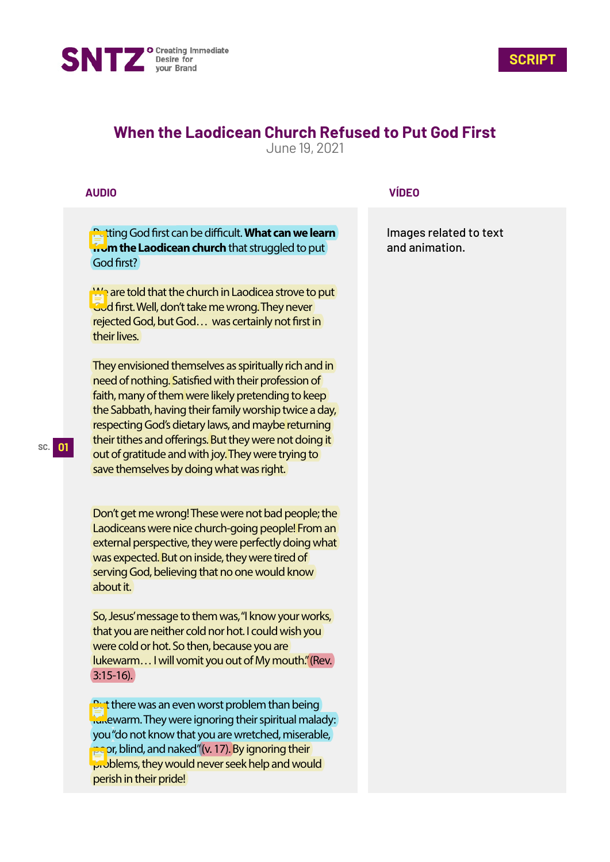



# **When the Laodicean Church Refused to Put God First**

June 19, 2021

### **AUDIO**

**Putting God first can be difficult. What can we learn from the Laodicean church** that struggled to put God first?

We are told that the church in Laodicea strove to put God first. Well, don't take me wrong. They never rejected God, but God... was certainly not first in their lives.

They envisioned themselves as spiritually rich and in need of nothing. Satisfied with their profession of faith, many of them were likely pretending to keep the Sabbath, having their family worship twice a day, respecting God's dietary laws, and maybe returning their tithes and offerings. But they were not doing it out of gratitude and with joy. They were trying to save themselves by doing what was right.

Don't get me wrong! These were not bad people; the Laodiceans were nice church-going people! From an external perspective, they were perfectly doing what was expected. But on inside, they were tired of serving God, believing that no one would know about it.

So, Jesus' message to them was, "I know your works, that you are neither cold nor hot. I could wish you were cold or hot. So then, because you are lukewarm... I will vomit you out of My mouth." (Rev.) 3:15-16).

But there was an even worst problem than being lukewarm. They were ignoring their spiritual malady: you "do not know that you are wretched, miserable, poor, blind, and naked" (v. 17). By ignoring their problems, they would never seek help and would perish in their pride!

#### **VÍDEO**

Images related to text and animation.